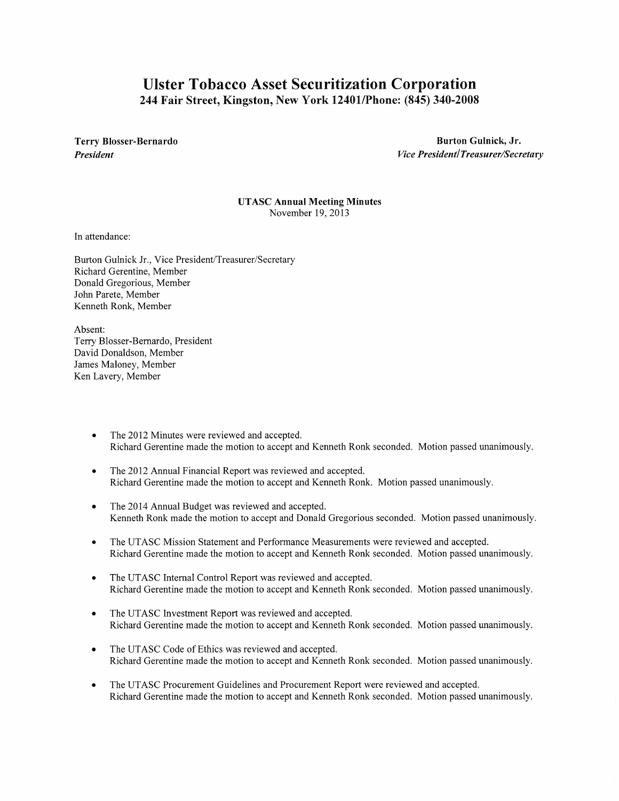## Ulster Tobacco Asset Securitization Corporation 244 Fair Street, Kingston, New York 12401/Phone: (845) 340-2008

Terry Blosser-Bernardo *President* 

Burton Gulnick, Jr. *Vice President! Treasurer/Secretary* 

## UTASC Annual Meeting Minutes November 19,2013

In attendance:

Burton Gulnick Jr., Vice President/Treasurer/Secretary Richard Gerentine, Member Donald Gregorious, Member John Parete, Member Kenneth Ronk, Member

Absent: Terry Blosser-Bernardo, President David Donaldson, Member James Maloney, Member Ken Lavery, Member

- The 2012 Minutes were reviewed and accepted. Richard Gerentine made the motion to accept and Kenneth Ronk seconded. Motion passed unanimously.
- The 2012 Annual Financial Report was reviewed and accepted. Richard Gerentine made the motion to accept and Kenneth Ronk. Motion passed unanimously.
- The 2014 Annual Budget was reviewed and accepted. Kenneth Ronk made the motion to accept and Donald Gregorious seconded. Motion passed unanimously.
- The UTASC Mission Statement and Performance Measurements were reviewed and accepted. Richard Gerentine made the motion to accept and Kenneth Ronk seconded. Motion passed unanimously.
- The UTASC Internal Control Report was reviewed and accepted. Richard Gerentine made the motion to accept and Kenneth Ronk seconded. Motion passed unanimously.
- The UTASC Investment Report was reviewed and accepted. Richard Gerentine made the motion to accept and Kenneth Ronk seconded. Motion passed unanimously.
- The UTASC Code of Ethics was reviewed and accepted. Richard Gerentine made the motion to accept and Kenneth Ronk seconded. Motion passed unanimously.
- The UTASC Procurement Guidelines and Procurement Report were reviewed and accepted. Richard Gerentine made the motion to accept and Kenneth Ronk seconded. Motion passed unanimously.